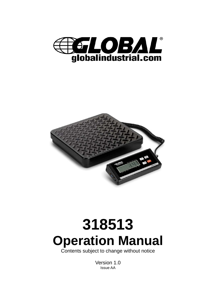



# **318513 Operation Manual**

Contents subject to change without notice

Version 1.0 Issue AA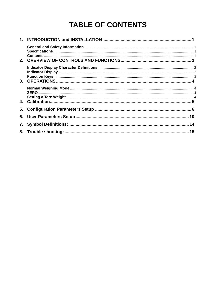# **TABLE OF CONTENTS**

| 5. |  |
|----|--|
|    |  |
| 7. |  |
|    |  |
|    |  |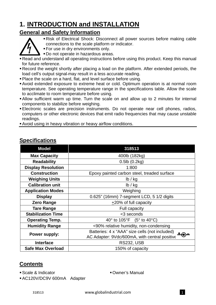## **1. INTRODUCTION and INSTALLATION**

#### **General and Safety Information**



- Risk of Electrical Shock: Disconnect all power sources before making cable connections to the scale platform or indicator.
- **For use in dry environments only.**
- Do not operate in hazardous areas.
- Read and understand all operating instructions before using this product. Keep this manual for future reference.
- Record the weight shortly after placing a load on the platform. After extended periods, the load cell's output signal-may result in a less accurate reading.
- Place the scale on a hard, flat, and level surface before using.
- Avoid extended exposure to extreme heat or cold. Optimum operation is at normal room temperature. See operating temperature range in the specifications table. Allow the scale to acclimate to room temperature before using.
- Allow sufficient warm up time. Turn the scale on and allow up to 2 minutes for internal components to stabilize before weighing.
- Electronic scales are precision instruments. Do not operate near cell phones, radios, computers or other electronic devices that emit radio frequencies that may cause unstable readings.
- Avoid using in heavy vibration or heavy airflow conditions.

| <b>Model</b>                                 | 318513                                                          |  |
|----------------------------------------------|-----------------------------------------------------------------|--|
| <b>Max Capacity</b>                          | 400lb (182kg)                                                   |  |
| <b>Readability</b>                           | $0.5$ lb $(0.2$ kg $)$                                          |  |
| <b>Display Resolution</b>                    | 1:800                                                           |  |
| <b>Construction</b>                          | Epoxy painted carbon steel, treaded surface                     |  |
| <b>Weighing Units</b>                        | lb / kg                                                         |  |
| <b>Calibration unit</b>                      | lb / kg                                                         |  |
| <b>Application Modes</b>                     | Weighing                                                        |  |
| <b>Display</b>                               | 0.625" (16mm) 7-segment LCD, 5 1/2 digits                       |  |
| <b>Zero Range</b>                            | $\pm$ 20% of full capacity                                      |  |
| <b>Tare Range</b><br><b>Full capacity</b>    |                                                                 |  |
| <b>Stabilization Time</b><br><3 seconds      |                                                                 |  |
| <b>Operating Temp.</b>                       | 40 $\degree$ to 105 $\degree$ F (5 $\degree$ to 40 $\degree$ C) |  |
| <b>Humidity Range</b>                        | <90% relative humidity, non-condensing                          |  |
| Power supply:                                | Batteries: 4 x "AAA" size cells (not included)<br>$+a$          |  |
|                                              | AC Adapter: 9Vdc/600mA, with central positive                   |  |
| <b>Interface</b>                             | <b>RS232, USB</b>                                               |  |
| <b>Safe Max Overload</b><br>150% of capacity |                                                                 |  |

#### **Specifications**

#### **Contents**

• Scale & Indicator **Calculation Calculation Calculation Calculation Calculation Calculation Calculation Calculation Calculation Calculation Calculation Calculation Calculation Calculation Calcu** 

AC120V/DC9V 600mA Adapter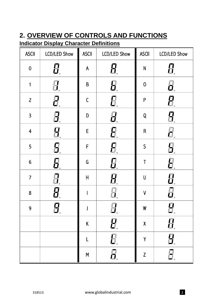## **2. OVERVIEW OF CONTROLS AND FUNCTIONS**

## **Indicator Display Character Definitions**

| <b>ASCII</b>            | <b>LCD/LED Show</b> | <b>ASCII</b> | <b>LCD/LED Show</b> | <b>ASCII</b>       | <b>LCD/LED Show</b>           |
|-------------------------|---------------------|--------------|---------------------|--------------------|-------------------------------|
| $\pmb{0}$               | 8                   | A            | H.                  | N                  |                               |
| $\mathbf{1}$            |                     | $\sf B$      | Н.                  | $\mathbf 0$        | Ū.                            |
| $\overline{c}$          | 8.                  | $\mathsf C$  | 0.                  | ${\sf P}$          | 8                             |
| $\mathsf{3}$            | 9.                  | D            | Н,                  | Q                  |                               |
| $\overline{\mathbf{4}}$ | 9                   | $\mathsf E$  | 8                   | $\sf R$            | Н.                            |
| 5                       | 8.                  | F            | 8.                  | $\mathsf S$        | 5,                            |
| $\boldsymbol{6}$        | 8.                  | G            | 0.                  | $\sf T$            | H                             |
| $\overline{7}$          |                     | $\sf H$      | 8                   | $\sf U$            | 0                             |
| 8                       | 8                   |              |                     | $\mathsf{V}$       | ΰ,                            |
| 9                       | 8.                  |              | 过.                  | W                  | $\overline{\mathbf{u}}$<br>Ш. |
|                         |                     | Κ            | 8                   | $\pmb{\mathsf{X}}$ | 8                             |
|                         |                     |              | 8.                  | Y                  | 8.                            |
|                         |                     | M            | 8.                  | $\mathsf Z$        | $\vec{\Xi}$                   |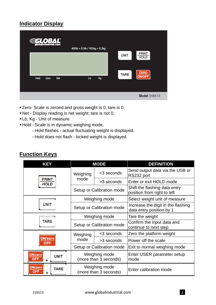## **Indicator Display**

| DBAL<br>∰€<br>globalindustrial.com | 400lb × 0.5lb / 182kg × 0.2kg |                                                                          |
|------------------------------------|-------------------------------|--------------------------------------------------------------------------|
|                                    |                               | <b>PRINT</b><br><b>UNIT</b><br><b>HOLD</b><br><b>ZERO</b><br><b>TARE</b> |
| Hold<br>Zero<br><b>Net</b>         | Kg<br>$\mathbf{L}\mathbf{b}$  | <b>ON/OFF</b>                                                            |
|                                    |                               | Model 318513                                                             |

- Zero- Scale is zeroed and gross weight is 0, tare is 0.
- Net Display reading is net weight; tare is not 0.
- Lb, Kg Unit of measure.
- Hold Scale is in dynamic weighing mode.
	- Hold flashes actual fluctuating weight is displayed.
	- Hold does not flash locked weight is displayed.

#### **Function Keys**

| <b>KEY</b>                                                              | <b>MODE</b>                            |                        | <b>DEFINITION</b>                                              |
|-------------------------------------------------------------------------|----------------------------------------|------------------------|----------------------------------------------------------------|
|                                                                         | Weighing                               | <3 seconds             | Send output data via the USB or<br>RS232 port                  |
| <b>PRINT</b><br><b>HOLD</b>                                             | mode                                   | >3 seconds             | Enter or exit HOLD mode                                        |
|                                                                         | Setup or Calibration mode              |                        | Shift the flashing data entry<br>position from right to left   |
|                                                                         |                                        | Weighing mode          | Select weight unit of measure                                  |
| <b>UNIT</b>                                                             | Setup or Calibration mode              |                        | Increase the digit in the flashing<br>data entry position by 1 |
|                                                                         | Weighing mode                          |                        | Tare the weight                                                |
| <b>TARE</b>                                                             | Setup or Calibration mode              |                        | Confirm the input data and<br>continue to next step            |
|                                                                         | Weighing                               | <3 seconds             | Zero the platform weight                                       |
| <b>ON/zero</b><br>OFF                                                   | mode                                   | >3 seconds             | Power off the scale                                            |
|                                                                         | Setup or Calibration mode              |                        | Exit to normal weighing mode                                   |
| ON/zero<br><b>UNIT</b><br><b>OFF</b><br>$\ddot{}$                       | Weighing mode<br>(more than 3 seconds) |                        | Enter USER parameter setup<br>mode                             |
| Weighing mode<br>ON/zero<br><b>TARE</b><br>OFF<br>(more than 3 seconds) |                                        | Enter calibration mode |                                                                |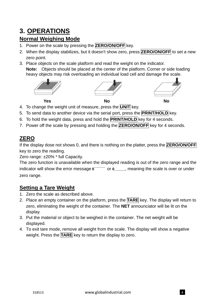## **3. OPERATIONS**

#### **Normal Weighing Mode**

- 1. Power on the scale by pressing the **ZERO/ON/OFF** key.
- 2. When the display stabilizes, but it doesn't show zero, press **ZERO/ON/OFF** to set a new zero point.
- 3. Place objects on the scale platform and read the weight on the indicator.

**Note:** Objects should be placed at the center of the platform. Corner or side loading heavy objects may risk overloading an individual load cell and damage the scale.







- 4. To change the weight unit of measure, press the **UNIT** key.
- 5. To send data to another device via the serial port, press the **PRINT/HOLD** key.
- 6. To hold the weight data, press and hold the **PRINT/HOLD** key for 4 seconds.
- 7. Power off the scale by pressing and holding the **ZERO/ON/OFF** key for 4 seconds.

## **ZERO**

If the display dose not shows 0, and there is nothing on the platter, press the **ZERO/ON/OFF** key to zero the reading.

Zero range: ±20% \* full Capacity.

The zero function is unavailable when the displayed reading is out of the zero range and the indicator will show the error message **0**﹉﹉﹉ or **0**﹍﹍﹍, meaning the scale is over or under zero range.

#### **Setting a Tare Weight**

- 1. Zero the scale as described above.
- 2. Place an empty container on the platform, press the **TARE** key. The display will return to zero, eliminating the weight of the container. The **NET** announciator will be lit on the display.
- 3. Put the material or object to be weighed in the container. The net weight will be displayed.
- 4. To exit tare mode, remove all weight from the scale. The display will show a negative weight. Press the **TARE** key to return the display to zero.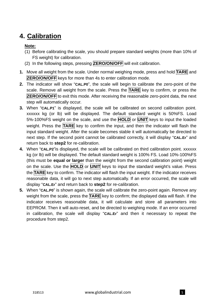## **4. Calibration**

#### **Note:**

- (1) Before calibrating the scale, you should prepare standard weights (more than 10% of FS weight) for calibration.
- (2) In the following steps, pressing **ZERO/ON/OFF** will exit calibration.
- **1.** Move all weight from the scale. Under normal weighing mode, press and hold **TARE** and **ZERO/ON/OFF** keys for more than 4s to enter calibration mode.
- **2.** The indicator will show "**CAL.P0**", the scale will begin to calibrate the zero-point of the scale. Remove all weight from the scale. Press the **TARE** key to confirm, or press the **ZERO/ON/OFF** to exit this mode. After receiving the reasonable zero-point data, the next step will automatically occur.
- **3.** When "**CAL.P1**" is displayed, the scale will be calibrated on second calibration point. xxxxxx kg (or lb) will be displayed. The default standard weight is 50%FS. Load 5%-100%FS weight on the scale, and use the **HOLD** or **UNIT** keys to input the loaded weight. Press the **TARE** key to confirm the input, and then the indicator will flash the input standard weight. After the scale becomes stable it will automatically be directed to next step. If the second point cannot be calibrated correctly, it will display "**CAL.Er**" and return back to **step2** for re-calibration.
- **4.** When "**CAL.P2**"is displayed, the scale will be calibrated on third calibration point. xxxxxx kg (or lb) will be displayed. The default standard weight is 100% FS. Load 10%-100%FS (this must be **equal or larger** than the weight from the second calibration point) weight on the scale. Use the **HOLD** or **UNIT** keys to input the standard weight's value. Press the **TARE** key to confirm. The indicator will flash the input weight. If the indicator receives reasonable data, it will go to next step automatically. If an error occurred, the scale will display "**CAL.Er**" and return back to **step2** for re-calibration.
- **5.** When "**CAL.P0**" is shown again, the scale will calibrate the zero-point again. Remove any weight from the scale, press the **TARE** key to confirm; the displayed data will flash. If the indicator receives reasonable data, it will calculate and store all parameters into EEPROM. Then it will auto-reset, and be directed to weighing mode. If an error occurred in calibration, the scale will display "**CAL.Er**" and then it necessary to repeat the procedure from step2.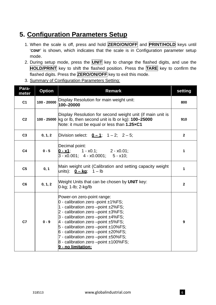## **5. Configuration Parameters Setup**

- 1. When the scale is off, press and hold **ZERO/ON/OFF** and **PRINT/HOLD** keys until '**C0NF**' is shown, which indicates that the scale is in Configuration parameter setup mode.
- 2. During setup mode, press the **UNIT** key to change the flashed digits, and use the **HOLD/PRINT** key to shift the flashed position. Press the **TARE** key to confirm the flashed digits. Press the **ZERO/ON/OFF** key to exit this mode.
- 3. Summary of Configuration Parameters Setting:

| Para-<br>meter | <b>Option</b>                                                                                                                                                               | <b>Remark</b>                                                                                                                                                                                                                                                                                                                                                                                                                  | setting        |
|----------------|-----------------------------------------------------------------------------------------------------------------------------------------------------------------------------|--------------------------------------------------------------------------------------------------------------------------------------------------------------------------------------------------------------------------------------------------------------------------------------------------------------------------------------------------------------------------------------------------------------------------------|----------------|
| C <sub>1</sub> | $100 - 20000$                                                                                                                                                               | Display Resolution for main weight unit:<br>100-20000                                                                                                                                                                                                                                                                                                                                                                          | 800            |
| C <sub>2</sub> | Display Resolution for second weight unit (if main unit is<br>100 - 25000 kg or lb, then second unit is lb or kg): 100-25000<br>Note: it must be equal or less than 1.25xC1 |                                                                                                                                                                                                                                                                                                                                                                                                                                | 910            |
| C <sub>3</sub> | 0, 1, 2                                                                                                                                                                     | Division select: $0 - 1$ ; 1 - 2; 2 - 5;                                                                                                                                                                                                                                                                                                                                                                                       | $\mathbf{2}$   |
| C <sub>4</sub> | Decimal point:<br>$0 - 5$<br>$0 - x1$ ; 1 - x0.1; 2 - x0.01;<br>$3 - x0.001$ ; 4 - x0.0001; 5 - x10;                                                                        |                                                                                                                                                                                                                                                                                                                                                                                                                                | 1              |
| C <sub>5</sub> | Main weight unit (Calibration and setting capacity weight<br>0, 1                                                                                                           |                                                                                                                                                                                                                                                                                                                                                                                                                                | 1              |
| C <sub>6</sub> | Weight Units that can be chosen by UNIT key:<br>0, 1, 2<br>0-kg; 1-lb; 2-kg/lb                                                                                              |                                                                                                                                                                                                                                                                                                                                                                                                                                | $\overline{2}$ |
| $0 - 9$<br>C7  |                                                                                                                                                                             | Power-on zero-point range:<br>0 - calibration zero -point ±1%FS;<br>1 - calibration zero -point ±2%FS;<br>2 - calibration zero -point ±3%FS;<br>3 - calibration zero -point ±4%FS;<br>$4$ - calibration zero -point $±5\%FS;$<br>$5$ - calibration zero -point $±10\%FS;$<br>$6$ - calibration zero -point $\pm 20\%$ FS;<br>7 - calibration zero -point ±50%FS;<br>8 - calibration zero -point ±100%FS;<br>9 - no limitation: | $\overline{9}$ |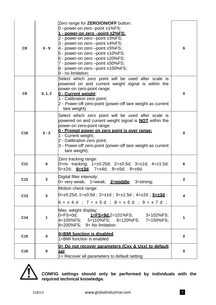| C <sub>8</sub>  | $0 - 9$                                                                                | Zero range for <b>ZERO/ON/OFF</b> button:<br>0-power-on zero -point ±1%FS;<br><u>1 - power-on zero –point ±2%FS:</u><br>2 - power-on zero -point ±3%FS;<br>3 - power-on zero --point ±4%FS;<br>4 - power-on zero $-point \pm 5\%FS;$<br>5 - power-on zero $-point \pm 10\%FS;$<br>$6$ - power-on zero $-p$ oint $\pm 20\%$ FS;<br>7 - power-on zero -point ±50%FS;<br>$8$ - power-on zero --point $±100\%FS;$<br>9 - no limitation: | 6           |
|-----------------|----------------------------------------------------------------------------------------|-------------------------------------------------------------------------------------------------------------------------------------------------------------------------------------------------------------------------------------------------------------------------------------------------------------------------------------------------------------------------------------------------------------------------------------|-------------|
| C <sub>9</sub>  | 0, 1, 2                                                                                | Select which zero point will be used after scale is<br>powered on and current weight signal is within the<br>power-on zero-point range:<br>0 - Current weight:<br>1 - Calibration zero point;<br>2 - Power-off zero-point (power-off tare weight as current<br>tare weight).                                                                                                                                                        | $\mathbf 0$ |
| C10             | $0 - 3$                                                                                | Select which zero point will be used after scale is<br>powered on and current weight signal is <b>NOT</b> within the<br>power-on zero-point range:<br>0 - Prompt power on zero point is over range:<br>1 - Current weight;<br>2 - Calibration zero point;<br>3 - Power-off zero-point (power-off tare weight as current<br>tare weight).                                                                                            | $\mathbf 0$ |
| C11             | 6                                                                                      | Zero tracking range:<br>0=no tracking; 1=±0.25d; 2=±0.5d; 3=±1d; 4=±1.5d;                                                                                                                                                                                                                                                                                                                                                           | 6           |
| C12             | Digital filter intensity:<br>$\mathbf{2}$<br>0= very weak; 1=weak; 2=middle; 3=strong; |                                                                                                                                                                                                                                                                                                                                                                                                                                     | $\mathbf 2$ |
| C <sub>13</sub> | $5\phantom{.0}$                                                                        | Motion check range:<br> 0=±0.25d, 1=±0.5d;2=±1d;3=±1.5d;4=±2d; <mark><u>5=±3d</u>;</mark><br>$6 = \pm 4$ d ; 7 = $\pm 5$ d ; 8 = $\pm 6$ d ; 9 = $\pm 7$ d ;                                                                                                                                                                                                                                                                        | 4           |
| C14             | 1                                                                                      | Max. weight display:<br>0=FS+0d; <u>1=<b>FS+9d:</b></u> 2=101%FS;   3=102%FS;<br>4=105%FS;  5=110%FS;  6=120%FS;  7=150%FS;<br>$8=200\%$ FS; $9=$ No limitation                                                                                                                                                                                                                                                                     | 1           |
| C <sub>15</sub> | $\mathbf 0$                                                                            | 0=BMI function is disabled<br>1=BMI function is enabled                                                                                                                                                                                                                                                                                                                                                                             | $\mathbf 0$ |
| C <sub>16</sub> | 0                                                                                      | 0= Do not recover parameters (Cxx & Uxx) to default<br><u>set</u><br>1= Recover all parameters to default setting                                                                                                                                                                                                                                                                                                                   | $\bf{0}$    |



**CONFIG settings should only be performed by individuals with the required technical knowledge.**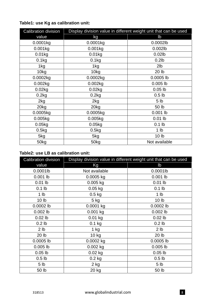| <b>Calibration division</b> |            | Display division value in different weight unit that can be used |
|-----------------------------|------------|------------------------------------------------------------------|
| value                       | kg         | $\mathsf{lb}$                                                    |
| 0.0001kg                    | 0.0001kg   | 0.0002lb                                                         |
| $0.001$ kg                  | $0.001$ kg | 0.002lb                                                          |
| 0.01kg                      | 0.01kg     | $0.02$ lb                                                        |
| 0.1 <sub>kg</sub>           | 0.1kg      | $0.2$ lb                                                         |
| 1kg                         | 1kg        | 2 <sub>lb</sub>                                                  |
| 10kg                        | 10kg       | 20 lb                                                            |
| 0.0002kg                    | 0.0002kg   | 0.0005 lb                                                        |
| 0.002kg                     | 0.002kg    | $0.005$ lb                                                       |
| 0.02kg                      | 0.02kg     | $0.05$ lb                                                        |
| 0.2kg                       | 0.2kg      | 0.5 <sub>lb</sub>                                                |
| 2kg                         | 2kg        | 5 <sub>lb</sub>                                                  |
| 20 <sub>k</sub> g           | 20kg       | 50 lb                                                            |
| 0.0005kg                    | 0.0005kg   | $0.001$ lb                                                       |
| 0.005kg                     | 0.005kg    | $0.01$ lb                                                        |
| 0.05kg                      | 0.05kg     | $0.1$ lb                                                         |
| 0.5kg                       | 0.5kg      | 1 <sub>lb</sub>                                                  |
| 5kg                         | 5kg        | 10 <sub>h</sub>                                                  |
| 50kg                        | 50kg       | Not available                                                    |

#### **Table1: use Kg as calibration unit:**

#### **Table2: use LB as calibration unit:**

| <b>Calibration division</b> |               | Display division value in different weight unit that can be used |
|-----------------------------|---------------|------------------------------------------------------------------|
| value                       | Kg            | lb                                                               |
| 0.0001lb                    | Not available | 0.0001lb                                                         |
| $0.001$ lb                  | 0.0005 kg     | $0.001$ lb                                                       |
| $0.01$ lb                   | $0.005$ kg    | $0.01$ lb                                                        |
| $0.1$ lb                    | $0.05$ kg     | $0.1$ lb                                                         |
| 1 <sub>lb</sub>             | $0.5$ kg      | 1 <sub>lb</sub>                                                  |
| 10 <sub>lb</sub>            | $5$ kg        | 10 <sub>lb</sub>                                                 |
| 0.0002 lb                   | 0.0001 kg     | 0.0002 lb                                                        |
| $0.002$ lb                  | $0.001$ kg    | $0.002$ lb                                                       |
| $0.02$ lb                   | 0.01 kg       | $0.02$ lb                                                        |
| 0.2 <sub>lb</sub>           | $0.1$ kg      | 0.2 <sub>lb</sub>                                                |
| 2 <sub>lb</sub>             | $1$ kg        | 2 <sub>lb</sub>                                                  |
| 20 lb                       | $10$ kg       | 20 lb                                                            |
| 0.0005 lb                   | 0.0002 kg     | 0.0005 lb                                                        |
| $0.005$ lb                  | $0.002$ kg    | $0.005$ lb                                                       |
| $0.05$ lb                   | $0.02$ kg     | $0.05$ lb                                                        |
| 0.5 <sub>lb</sub>           | $0.2$ kg      | 0.5 <sub>lb</sub>                                                |
| 5 <sub>1b</sub>             | 2 kg          | 5 <sub>lb</sub>                                                  |
| 50 lb                       | 20 kg         | 50 lb                                                            |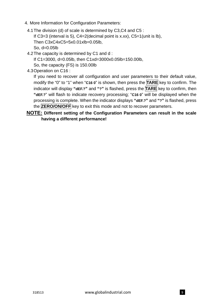- 4. More Information for Configuration Parameters:
	- 4.1 The division (d) of scale is determined by C3,C4 and C5 : If  $C3=3$  (interval is 5),  $C4=2$  (decimal point is x.xx),  $C5=1$  (unit is lb), Then C3xC4xC5=5x0.01xlb=0.05lb, So, d=0.05lb
	- 4.2 The capacity is determined by C1 and d :

If C1=3000, d=0.05lb, then C1xd=3000x0.05lb=150.00lb,

So, the capacity (FS) is 150.00lb

#### 4.3 Operation on C16 :

If you need to recover all configuration and user parameters to their default value, modify the "0" to "1" when "**C16 0**" is shown, then press the **TARE** key to confirm. The indicator will display **"dEF.?"** and **"?"** is flashed, press the **TARE** key to confirm, then **"dEF.?**" will flash to indicate recovery processing; "**C16 0**" will be displayed when the processing is complete. When the indicator displays **"dEF.?"** and **"?"** is flashed, press the **ZERO/ON/OFF** key to exit this mode and not to recover parameters.

#### **NOTE: Different setting of the Configuration Parameters can result in the scale having a different performance!**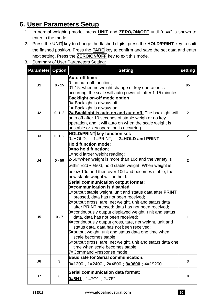## **6. User Parameters Setup**

- 1. In normal weighing mode, press **UNIT** and **ZERO/ON/OFF** until "**USer**" is shown to enter in the mode.
- 2. Press the **UNIT** key to change the flashed digits, press the **HOLD/PRINT** key to shift the flashed position. Press the **TARE** key to confirm and save the set data and enter next setting. Press the **ZERO/ON/OFF** key to exit this mode.
- 3. Summary of User Parameters Setting:

| <b>Parameter Option</b>                                                                                                                                                                                                                                                                                                                                                                                                                                                                                                                                                                                                                                                                                                                                                                                     |             | <b>Setting</b>                                                                                                                                                                                                                                                                                                             | setting      |
|-------------------------------------------------------------------------------------------------------------------------------------------------------------------------------------------------------------------------------------------------------------------------------------------------------------------------------------------------------------------------------------------------------------------------------------------------------------------------------------------------------------------------------------------------------------------------------------------------------------------------------------------------------------------------------------------------------------------------------------------------------------------------------------------------------------|-------------|----------------------------------------------------------------------------------------------------------------------------------------------------------------------------------------------------------------------------------------------------------------------------------------------------------------------------|--------------|
| <b>Auto-off time:</b><br>0: no auto-off function;<br>$0 - 15$<br>U <sub>1</sub><br>01-15: when no weight change or key operation is                                                                                                                                                                                                                                                                                                                                                                                                                                                                                                                                                                                                                                                                         |             | occurring, the scale will auto power off after 1-15 minutes.                                                                                                                                                                                                                                                               | 05           |
| U <sub>2</sub>                                                                                                                                                                                                                                                                                                                                                                                                                                                                                                                                                                                                                                                                                                                                                                                              | 0, 1, 2     | <b>Backlight on-off mode option:</b><br>0= Backlight is always off;<br>1= Backlight is always on;<br>2= Backlight is auto on and auto off. The backlight will<br>auto off after 10 seconds of stable weigh or no key<br>operation, and it will auto on when the scale weight is<br>unstable or key operation is occurring. | $\mathbf{2}$ |
| U <sub>3</sub>                                                                                                                                                                                                                                                                                                                                                                                                                                                                                                                                                                                                                                                                                                                                                                                              | 0, 1, 2     | HOLD/PRINT key function set:<br>0=HOLD,<br>$1 = PRINT$<br>2=HOLD and PRINT                                                                                                                                                                                                                                                 | $\mathbf{2}$ |
| <b>Hold function mode:</b><br>0=no hold function;<br>1=hold larger weight reading;<br>2-50=when weight is more than 10d and the variety is<br>U <sub>4</sub><br>$0 - 50$<br>within $\pm 2d \sim \pm 50d$ , hold stable weight; When weight is<br>below 10d and then over 10d and becomes stable, the<br>new stable weight will be held.<br><b>Serial communication output format:</b><br>0=communication is disabled<br>pressed, data has not been received;<br>2=output gross, tare, net weight, unit and status data<br>after PRINT pressed; data has not been received;<br>U <sub>5</sub><br>$0 - 7$<br>data, data has not been received;<br>status data, data has not been received:<br>5=output weight, unit and status data one time when<br>scale becomes stable;<br>time when scale becomes stable; |             | $\mathbf{2}$                                                                                                                                                                                                                                                                                                               |              |
|                                                                                                                                                                                                                                                                                                                                                                                                                                                                                                                                                                                                                                                                                                                                                                                                             |             | 1=output stable weight, unit and status data after PRINT<br>3=continuously output displayed weight, unit and status<br>4=continuously output gross, tare, net weight, unit and<br>6=output gross, tare, net weight, unit and status data one<br>7=Command -response mode.                                                  | 1            |
| U <sub>6</sub>                                                                                                                                                                                                                                                                                                                                                                                                                                                                                                                                                                                                                                                                                                                                                                                              | $\mathbf 3$ | <b>Baud rate for Serial communication:</b><br>$0=1200$ , 1=2400 , 2=4800 ; 3=9600 ; 4=19200                                                                                                                                                                                                                                | 3            |
| <b>U7</b>                                                                                                                                                                                                                                                                                                                                                                                                                                                                                                                                                                                                                                                                                                                                                                                                   | $\mathbf 0$ | Serial communication data format:<br>$0=8N1$ ; 1=701; 2=7E1                                                                                                                                                                                                                                                                | $\bf{0}$     |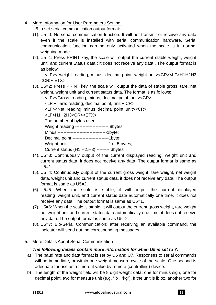4. More Information for User Parameters Setting:

U5 to set serial communication output format:

- (1). U5=0: No serial communication function. It will not transmit or receive any data even if the scale is installed with serial communication hardware. Serial communication function can be only activated when the scale is in normal weighing mode.
- (2). U5=1: Press PRINT key, the scale will output the current stable weight, weight unit, and current Status data ; it does not receive any data . The output format is as below:

<LF>< weight reading, minus, decimal point, weight unit><CR><LF>H1H2H3 <CR><ETX>

(3). U5=2: Press PRINT key, the scale will output the data of stable gross, tare, net weight, weight unit and current status data. The format is as follows:

<LF><Gross: reading, minus, decimal point, unit><CR>

<LF><Tare: reading, decimal point, unit><CR>

<LF><Net: reading, minus, decimal point, unit><CR>

<LF>H1H2H3<CR><ETX>

The number of bytes used:

Weight reading ----------------------- 8bytes;

Minus ----------------------------------1byte;

Decimal point -------------------------1byte;

Weight unit ----------------------------2 or 5 bytes;

Current status (H1.H2.H3) --------- 3bytes

- (4). U5=3: Continuously output of the current displayed reading, weight unit and current status data, it does not receive any data. The output format is same as  $U5=1$ .
- (5). U5=4: Continuously output of the current gross weight, tare weight, net weight data, weight unit and current status data, it does not receive any data. The output format is same as U5=2.
- (6). U5=5: When the scale is stable, it will output the current displayed reading ,weight unit, and current status data automatically one time, it does not receive any data. The output format is same as U5=1.
- (7). U5=6: When the scale is stable, it will output the current gross weight, tare weight, net weight unit and current status data automatically one time, it does not receive any data. The output format is same as U5=2.
- (8). U5=7: Bio-Serial Communication: after receiving an available command, the indicator will send out the corresponding messages.
- 5. More Details About Serial Communication

#### *The following details contain more information for when U5 is set to 7:*

- a) The baud rate and data format is set by U6 and U7. Responses to serial commands will be immediate, or within one weight measure cycle of the scale. One second is adequate for use as a time-out value by remote (controlling) device.
- b) The length of the weight field will be 8 digit weight data, one for minus sign, one for decimal point, two for measure unit (e.g. "lb", "kg"). If the unit is lb:oz, another two for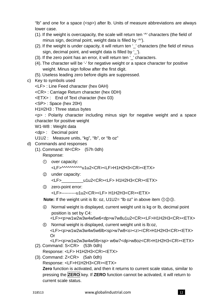"lb" and one for a space (<sp>) after lb. Units of measure abbreviations are always lower case.

- (1). If the weight is overcapacity, the scale will return ten '<sup>^</sup>' characters (the field of minus sign, decimal point, weight data is filled by '^').
- (2). If the weight is under capacity, it will return ten ' ' characters (the field of minus sign, decimal point, and weight data is filled by ''.
- (3). If the zero point has an error, it will return ten '\_' characters.
- (4). The character will be '-' for negative weight or a space character for positive weight. Minus sign follow after the first digit.
- (5). Useless leading zero before digits are suppressed.
- c) Key to symbols used
	- <LF> : Line Feed character (hex 0AH)
	- <CR> : Carriage Return character (hex 0DH)
	- <ETX> : End of Text character (hex 03)
	- <SP> : Space (hex 20H)
	- H1H2H3 : Three status bytes

<p> : Polarity character including minus sign for negative weight and a space character for positive weight

- W1-W8 : Weight data
- <dp> : Decimal point
- U1U2 : Measure units, "kg", "lb", or "lb oz"
- d) Commands and responses
	- (1). Command: W<CR> (57h 0dh)

Response:

- ① over capacity: <LF>^^^^^^^^^^u1u2<CR><LF>H1H2H3<CR><ETX>
- ② under capacity:

<LF>\_\_\_\_\_\_\_\_\_u1u2<CR><LF> H1H2H3<CR><ETX>

③ zero-point error:

```
<LF>----------u1u2<CR><LF> H1H2H3<CR><ETX>
```
**Note:** If the weight unit is lb: oz, U1U2= "lb oz" in above item ①②③.

- ④ Normal weight is displayed, current weight unit is kg or lb, decimal point position is set by C4:
	- <LF><p>w1w2w3w4w5w6<dp>w7w8u1u2<CR><LF>H1H2H3<CR><ETX>
- ⑤ Normal weight is displayed, current weight unit is lb:oz, <LF><p>w1w2w3w4w5w6lb<sp>w7w8<o><z><CR>H1H2H3<CR><ETX> Or
- <LF><p>w1w2w3w4w5lb<sp> w6w7<dp>w8oz<CR>H1H2H3<CR><ETX> (2). Command: S<CR> (53h 0dh)

Response: <LF> H1H2H3<CR><ETX>

(3). Command: Z<CR> (5ah 0dh) Response: <LF>H1H2H3<CR><ETX> **Zero** function is activated, and then it returns to current scale status, similar to pressing the **ZERO** key. If **ZERO** function cannot be activated, it will return to current scale status.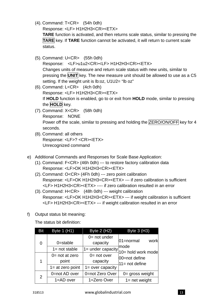(4). Command: T<CR> (54h 0dh)

Response: <LF> H1H2H3<CR><ETX>

**TARE** function is activated, and then returns scale status, similar to pressing the **TARE** key. If **TARE** function cannot be activated, it will return to current scale status.

(5). Command: U<CR> (55h 0dh)

Response: <LF>u1u2<CR><LF> H1H2H3<CR><ETX> Changes units of measure and return scale status with new units, similar to pressing the **UNIT** key. The new measure unit should be allowed to use as a C5 setting. If the weight unit is lb:oz, U1U2= "lb oz"

- (6). Command: L<CR> (4ch 0dh) Response: <LF> H1H2H3<CR><ETX> If **HOLD** function is enabled, go to or exit from **HOLD** mode, similar to pressing the **HOLD** key.
- (7). Command: X<CR> (58h 0dh) Response: NONE Power off the scale, similar to pressing and holding the ZERO/ON/OFF key for 4 seconds.
- (8). Command: all others Response: <LF>? <CR><ETX> Unrecognized command
- e) Additional Commands and Responses for Scale Base Application:
	- (1). Command: F<CR> (46h 0dh) --- to restore factory calibration data Response: <LF>OK H1H2H3<CR><ETX>
	- (2). Command: O<CR> (4Fh 0dh) --- zero point calibration Response: <LF>OK H1H2H3<CR><ETX> --- if zero calibration is sufficient <LF> H1H2H3<CR><ETX> ---- if zero calibration resulted in an error
	- (3). Command: H<CR> (48h 0dh) --- weight calibration Response: <LF>OK H1H2H3<CR><ETX> --- if weight calibration is sufficient <LF> H1H2H3<CR><ETX> --- if weight calibration resulted in an error
- f) Output status bit meaning:

The status bit definition:

| <b>Bit</b> | Byte $1$ (H1)       | <b>Byte 2 (H2)</b>          | Byte 3 (H3)                |
|------------|---------------------|-----------------------------|----------------------------|
| 0          | $0 = stable$        | $0 = not under$<br>capacity | work<br>01=normal          |
|            | $1 = not stable$    | $1 =$ under capacity        | mode<br>10= hold work mode |
|            | $0 = not at zero$   | $0 = not over$              | 00=not define              |
| 1          | point               | capacity                    | $11 = not define$          |
|            | $1 = at$ zero point | $1 = over capacity$         |                            |
| 2          | 0=not AD over       | 0=not Zero Over             | $0 =$ gross weight         |
|            | $1 = AD$ over       | 1=Zero Over                 | $1 = net weight$           |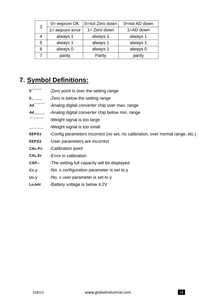| 3 | $0 =$ eeprom $OK$  | 0=not Zero down | 0=not AD down |
|---|--------------------|-----------------|---------------|
|   | $1 =$ eeprom error | $1 =$ Zero down | $1 = AD$ down |
|   | always 1           | always 1        | always 1      |
| 5 | always 1           | always 1        | always 1      |
| 6 | always 0           | always 1        | always 0      |
|   | parity             | Parity          | parity        |

## **7. Symbol Definitions:**

**0<sup>--------</sup>** -Zero point is over the setting range **0**﹍﹍﹍ -Zero is below the setting range Ad<sup>---------</sup> -Analog digital converter chip over max. range Ad<sub>-------</sub> -Analog digital converter chip below min. range ------------<br>-Weight signal is too large ﹍﹍﹍﹍ -Weight signal is too small **EEP.E1** -Config parameters incorrect (no set, no calibration, over normal range, etc.) **EEP.E2** -User parameters are incorrect **CAL-P**x -Calibration point **CAL.Er** -Error in calibration **CAP.--** -The setting full capacity will be displayed **C**x.y -No. x configuration parameter is set to y Ux.y -No. x user parameter is set to y **Lo.bAt** -Battery voltage is below 4.2V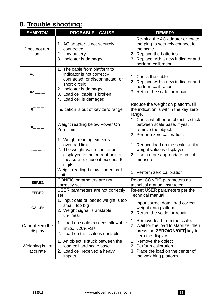# **8. Trouble shooting:**

| <b>SYMPTOM</b>              | <b>PROBABLE</b><br><b>CAUSE</b>                                                                                                                             | <b>REMEDY</b>                                                                                                                                                                 |
|-----------------------------|-------------------------------------------------------------------------------------------------------------------------------------------------------------|-------------------------------------------------------------------------------------------------------------------------------------------------------------------------------|
| Does not turn<br>on.        | 1. AC adapter is not securely<br>connected<br>2. Low battery<br>3. Indicator is damaged                                                                     | 1. Re-plug the AC adapter or rotate<br>the plug to securely connect to<br>the scale<br>2. Replace the batteries<br>3. Replace with a new indicator and<br>perform calibration |
| Ad                          | 1. The cable from platform to<br>indicator is not correctly<br>connected, or disconnected, or                                                               | 1. Check the cable<br>2. Replace with a new indicator and                                                                                                                     |
| $Ad_{222}$                  | short circuit<br>2. Indicator is damaged<br>3. Load cell cable is broken<br>4. Load cell is damaged                                                         | perform calibration.<br>3. Return the scale for repair                                                                                                                        |
| 0                           | Indication is out of key zero range                                                                                                                         | Reduce the weight on platform, till<br>the indication is within the key zero<br>range.                                                                                        |
| $0 - 1$                     | Weight reading below Power On<br>Zero limit.                                                                                                                | 1. Check whether an object is stuck<br>between scale base, if yes,<br>remove the object.<br>2. Perform zero calibration.                                                      |
|                             | 1. Weight reading exceeds<br>overload limit<br>2. The weight value cannot be<br>displayed in the current unit of<br>measure because it exceeds 6<br>digits. | 1. Reduce load on the scale until a<br>weight value is displayed.<br>2. Use a more appropriate unit of<br>measure.                                                            |
|                             | Weight reading below Under load<br>limit                                                                                                                    | 1. Perform zero calibration                                                                                                                                                   |
| EEP.E1                      | CONFIG parameters are not<br>correctly set                                                                                                                  | Re-set CONFIG parameters as<br>technical manual instructed.                                                                                                                   |
| EEP.E2                      | USER parameters are not correctly<br>set                                                                                                                    | Re-set USER parameters per the<br><b>Technical manual</b>                                                                                                                     |
| <b>CAL.Er</b>               | 1. Input data or loaded weight is too<br>small, too big<br>2. Weight signal is unstable,<br>un-linear                                                       | 1. Input correct data, load correct<br>weight onto platform.<br>2. Return the scale for repair                                                                                |
| Cannot zero the<br>display  | 1. Load on scale exceeds allowable<br>limits. $(20\%FS)$<br>2. Load on the scale is unstable                                                                | 1. Remove load from the scale.<br>2. Wait for the load to stabilize, then<br>press the <b>ZERO/ON/OFF</b> key to<br>zero the display                                          |
| Weighing is not<br>accurate | 1. An object is stuck between the<br>load cell and scale base<br>2. Load cell received a heavy<br>impact                                                    | 1. Remove the object<br>2. Perform calibration<br>3. Place the load on the center of<br>the weighing platform                                                                 |